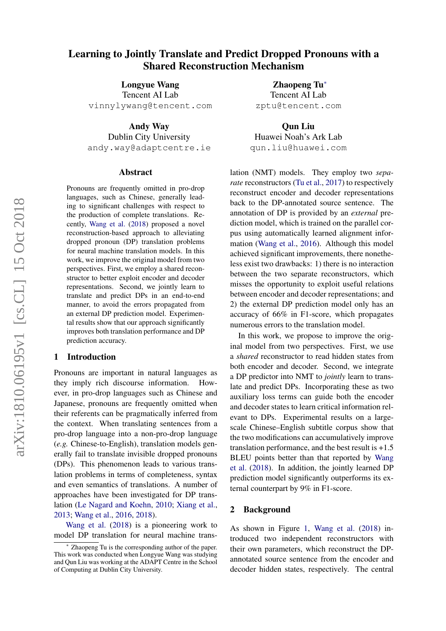# Learning to Jointly Translate and Predict Dropped Pronouns with a Shared Reconstruction Mechanism

Longyue Wang Tencent AI Lab vinnylywang@tencent.com

Andy Way Dublin City University andy.way@adaptcentre.ie

#### Abstract

Pronouns are frequently omitted in pro-drop languages, such as Chinese, generally leading to significant challenges with respect to the production of complete translations. Recently, [Wang et al.](#page-5-0) [\(2018\)](#page-5-0) proposed a novel reconstruction-based approach to alleviating dropped pronoun (DP) translation problems for neural machine translation models. In this work, we improve the original model from two perspectives. First, we employ a shared reconstructor to better exploit encoder and decoder representations. Second, we jointly learn to translate and predict DPs in an end-to-end manner, to avoid the errors propagated from an external DP prediction model. Experimental results show that our approach significantly improves both translation performance and DP prediction accuracy.

## 1 Introduction

Pronouns are important in natural languages as they imply rich discourse information. However, in pro-drop languages such as Chinese and Japanese, pronouns are frequently omitted when their referents can be pragmatically inferred from the context. When translating sentences from a pro-drop language into a non-pro-drop language (*e.g.* Chinese-to-English), translation models generally fail to translate invisible dropped pronouns (DPs). This phenomenon leads to various translation problems in terms of completeness, syntax and even semantics of translations. A number of approaches have been investigated for DP translation [\(Le Nagard and Koehn,](#page-5-1) [2010;](#page-5-1) [Xiang et al.,](#page-5-2) [2013;](#page-5-2) [Wang et al.,](#page-5-3) [2016,](#page-5-3) [2018\)](#page-5-0).

[Wang et al.](#page-5-0) [\(2018\)](#page-5-0) is a pioneering work to model DP translation for neural machine trans-

Zhaopeng Tu<sup>∗</sup> Tencent AI Lab zptu@tencent.com

Qun Liu Huawei Noah's Ark Lab qun.liu@huawei.com

lation (NMT) models. They employ two *separate* reconstructors [\(Tu et al.,](#page-5-4) [2017\)](#page-5-4) to respectively reconstruct encoder and decoder representations back to the DP-annotated source sentence. The annotation of DP is provided by an *external* prediction model, which is trained on the parallel corpus using automatically learned alignment information [\(Wang et al.,](#page-5-3) [2016\)](#page-5-3). Although this model achieved significant improvements, there nonetheless exist two drawbacks: 1) there is no interaction between the two separate reconstructors, which misses the opportunity to exploit useful relations between encoder and decoder representations; and 2) the external DP prediction model only has an accuracy of 66% in F1-score, which propagates numerous errors to the translation model.

In this work, we propose to improve the original model from two perspectives. First, we use a *shared* reconstructor to read hidden states from both encoder and decoder. Second, we integrate a DP predictor into NMT to *jointly* learn to translate and predict DPs. Incorporating these as two auxiliary loss terms can guide both the encoder and decoder states to learn critical information relevant to DPs. Experimental results on a largescale Chinese–English subtitle corpus show that the two modifications can accumulatively improve translation performance, and the best result is  $+1.5$ BLEU points better than that reported by [Wang](#page-5-0) [et al.](#page-5-0) [\(2018\)](#page-5-0). In addition, the jointly learned DP prediction model significantly outperforms its external counterpart by 9% in F1-score.

#### 2 Background

As shown in Figure [1,](#page-1-0) [Wang et al.](#page-5-0) [\(2018\)](#page-5-0) introduced two independent reconstructors with their own parameters, which reconstruct the DPannotated source sentence from the encoder and decoder hidden states, respectively. The central

Zhaopeng Tu is the corresponding author of the paper. This work was conducted when Longyue Wang was studying and Qun Liu was working at the ADAPT Centre in the School of Computing at Dublin City University.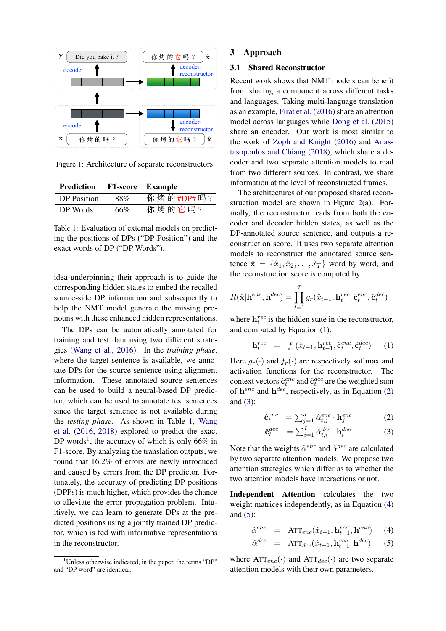<span id="page-1-0"></span>

Figure 1: Architecture of separate reconstructors.

<span id="page-1-1"></span>

| Prediction   F1-score Example |     |           |  |  |
|-------------------------------|-----|-----------|--|--|
| DP Position                   | 88% | 你烤的#DP#吗? |  |  |
| DP Words                      | 66% | 你烤的它吗?    |  |  |

Table 1: Evaluation of external models on predicting the positions of DPs ("DP Position") and the exact words of DP ("DP Words").

idea underpinning their approach is to guide the corresponding hidden states to embed the recalled source-side DP information and subsequently to help the NMT model generate the missing pronouns with these enhanced hidden representations.

The DPs can be automatically annotated for training and test data using two different strategies [\(Wang et al.,](#page-5-3) [2016\)](#page-5-3). In the *training phase*, where the target sentence is available, we annotate DPs for the source sentence using alignment information. These annotated source sentences can be used to build a neural-based DP predictor, which can be used to annotate test sentences since the target sentence is not available during the *testing phase*. As shown in Table [1,](#page-1-1) [Wang](#page-5-3) [et al.](#page-5-3) [\(2016,](#page-5-3) [2018\)](#page-5-0) explored to predict the exact DP words<sup>[1](#page-1-2)</sup>, the accuracy of which is only 66% in F1-score. By analyzing the translation outputs, we found that 16.2% of errors are newly introduced and caused by errors from the DP predictor. Fortunately, the accuracy of predicting DP positions (DPPs) is much higher, which provides the chance to alleviate the error propagation problem. Intuitively, we can learn to generate DPs at the predicted positions using a jointly trained DP predictor, which is fed with informative representations in the reconstructor.

## 3 Approach

## 3.1 Shared Reconstructor

Recent work shows that NMT models can benefit from sharing a component across different tasks and languages. Taking multi-language translation as an example, [Firat et al.](#page-5-5) [\(2016\)](#page-5-5) share an attention model across languages while [Dong et al.](#page-5-6) [\(2015\)](#page-5-6) share an encoder. Our work is most similar to the work of [Zoph and Knight](#page-5-7) [\(2016\)](#page-5-7) and [Anas](#page-5-8)[tasopoulos and Chiang](#page-5-8) [\(2018\)](#page-5-8), which share a decoder and two separate attention models to read from two different sources. In contrast, we share information at the level of reconstructed frames.

The architectures of our proposed shared reconstruction model are shown in Figure [2\(](#page-2-0)a). Formally, the reconstructor reads from both the encoder and decoder hidden states, as well as the DP-annotated source sentence, and outputs a reconstruction score. It uses two separate attention models to reconstruct the annotated source sentence  $\hat{\mathbf{x}} = {\hat{x}_1, \hat{x}_2, \dots, \hat{x}_T}$  word by word, and the reconstruction score is computed by

<span id="page-1-3"></span>
$$
R(\hat{\mathbf{x}}|\mathbf{h}^{enc}, \mathbf{h}^{dec}) = \prod_{t=1}^{T} g_r(\hat{x}_{t-1}, \mathbf{h}_t^{rec}, \hat{\mathbf{c}}_t^{enc}, \hat{\mathbf{c}}_t^{dec})
$$

where  $h_t^{rec}$  is the hidden state in the reconstructor, and computed by Equation [\(1\)](#page-1-3):

$$
\mathbf{h}_t^{rec} = f_r(\hat{x}_{t-1}, \mathbf{h}_{t-1}^{rec}, \hat{\mathbf{c}}_t^{enc}, \hat{\mathbf{c}}_t^{dec}) \qquad (1)
$$

Here  $g_r(\cdot)$  and  $f_r(\cdot)$  are respectively softmax and activation functions for the reconstructor. The context vectors  $\hat{c}_t^{enc}$  and  $\hat{c}_t^{dec}$  are the weighted sum of  $h^{enc}$  and  $h^{dec}$ , respectively, as in Equation [\(2\)](#page-1-4) and  $(3)$ :

<span id="page-1-4"></span>
$$
\hat{\mathbf{c}}_t^{enc} = \sum_{j=1}^J \hat{\alpha}_{t,j}^{enc} \cdot \mathbf{h}_j^{enc}
$$
 (2)

$$
\hat{\mathbf{c}}_t^{dec} = \sum_{i=1}^I \hat{\alpha}_{t,i}^{dec} \cdot \mathbf{h}_i^{dec}
$$
 (3)

Note that the weights  $\hat{\alpha}^{enc}$  and  $\hat{\alpha}^{dec}$  are calculated by two separate attention models. We propose two attention strategies which differ as to whether the two attention models have interactions or not.

Independent Attention calculates the two weight matrices independently, as in Equation [\(4\)](#page-1-5) and  $(5)$ :

<span id="page-1-5"></span>
$$
\hat{\alpha}^{enc} = \text{ATT}_{enc}(\hat{x}_{t-1}, \mathbf{h}_{t-1}^{rec}, \mathbf{h}^{enc}) \quad (4)
$$

$$
\hat{\alpha}^{dec} = \text{ATT}_{dec}(\hat{x}_{t-1}, \mathbf{h}_{t-1}^{rec}, \mathbf{h}^{dec}) \quad (5)
$$

where  $ATT_{enc}(\cdot)$  and  $ATT_{dec}(\cdot)$  are two separate attention models with their own parameters.

<span id="page-1-2"></span><sup>&</sup>lt;sup>1</sup>Unless otherwise indicated, in the paper, the terms "DP" and "DP word" are identical.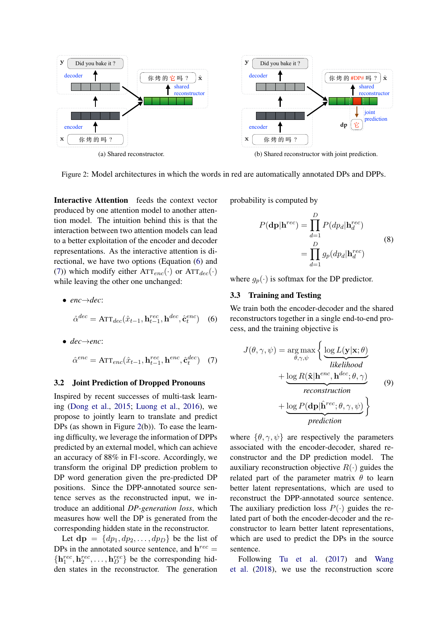<span id="page-2-0"></span>

Figure 2: Model architectures in which the words in red are automatically annotated DPs and DPPs.

Interactive Attention feeds the context vector produced by one attention model to another attention model. The intuition behind this is that the interaction between two attention models can lead to a better exploitation of the encoder and decoder representations. As the interactive attention is directional, we have two options (Equation [\(6\)](#page-2-1) and [\(7\)](#page-2-2)) which modify either  $ATT_{enc}(\cdot)$  or  $ATT_{dec}(\cdot)$ while leaving the other one unchanged:

<span id="page-2-1"></span>• enc
$$
\rightarrow
$$
dec:  
 $\hat{\alpha}^{dec} = \text{ATT}_{dec}(\hat{x}_{t-1}, \mathbf{h}_{t-1}^{rec}, \mathbf{h}^{dec}, \hat{\mathbf{c}}_{t}^{enc})$  (6)

<span id="page-2-2"></span>• 
$$
dec \rightarrow enc
$$
:  
\n
$$
\hat{\alpha}^{enc} = \text{ATT}_{enc}(\hat{x}_{t-1}, \mathbf{h}_{t-1}^{rec}, \mathbf{h}^{enc}, \hat{\mathbf{c}}_t^{dec})
$$
 (7)

#### <span id="page-2-3"></span>3.2 Joint Prediction of Dropped Pronouns

Inspired by recent successes of multi-task learning [\(Dong et al.,](#page-5-6) [2015;](#page-5-6) [Luong et al.,](#page-5-9) [2016\)](#page-5-9), we propose to jointly learn to translate and predict DPs (as shown in Figure [2\(](#page-2-0)b)). To ease the learning difficulty, we leverage the information of DPPs predicted by an external model, which can achieve an accuracy of 88% in F1-score. Accordingly, we transform the original DP prediction problem to DP word generation given the pre-predicted DP positions. Since the DPP-annotated source sentence serves as the reconstructed input, we introduce an additional *DP-generation loss*, which measures how well the DP is generated from the corresponding hidden state in the reconstructor.

Let  $dp = \{dp_1, dp_2, \ldots, dp_D\}$  be the list of DPs in the annotated source sentence, and  $h^{rec} =$  $\{h_1^{rec}, h_2^{rec}, \ldots, h_D^{rec}\}$  be the corresponding hidden states in the reconstructor. The generation

probability is computed by

$$
P(\mathbf{dp}|\mathbf{h}^{rec}) = \prod_{d=1}^{D} P(dp_d|\mathbf{h}_d^{rec})
$$
  
= 
$$
\prod_{d=1}^{D} g_p(dp_d|\mathbf{h}_d^{rec})
$$
 (8)

where  $g_p(\cdot)$  is softmax for the DP predictor.

## 3.3 Training and Testing

We train both the encoder-decoder and the shared reconstructors together in a single end-to-end process, and the training objective is

$$
J(\theta, \gamma, \psi) = \underset{\theta, \gamma, \psi}{\arg \max} \left\{ \underbrace{\log L(\mathbf{y}|\mathbf{x}; \theta)}_{likelihood} + \underbrace{\log R(\hat{\mathbf{x}}|\mathbf{h}^{enc}, \mathbf{h}^{dec}; \theta, \gamma)}_{reconstruction} \right\}
$$
(9)  
+ 
$$
\underbrace{\log P(\mathbf{dp}|\hat{\mathbf{h}}^{rec}; \theta, \gamma, \psi)}_{prediction}
$$

where  $\{\theta, \gamma, \psi\}$  are respectively the parameters associated with the encoder-decoder, shared reconstructor and the DP prediction model. The auxiliary reconstruction objective  $R(\cdot)$  guides the related part of the parameter matrix  $\theta$  to learn better latent representations, which are used to reconstruct the DPP-annotated source sentence. The auxiliary prediction loss  $P(\cdot)$  guides the related part of both the encoder-decoder and the reconstructor to learn better latent representations, which are used to predict the DPs in the source sentence.

Following [Tu et al.](#page-5-4) [\(2017\)](#page-5-4) and [Wang](#page-5-0) [et al.](#page-5-0) [\(2018\)](#page-5-0), we use the reconstruction score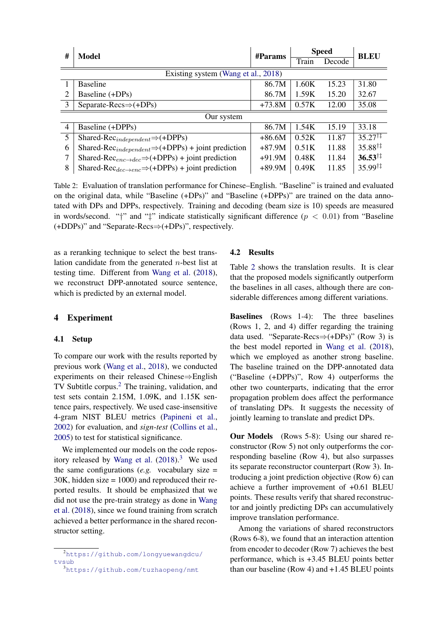<span id="page-3-2"></span>

| #<br>Model     |                                                                                                        | #Params  | <b>Speed</b> |        | <b>BLEU</b>               |
|----------------|--------------------------------------------------------------------------------------------------------|----------|--------------|--------|---------------------------|
|                |                                                                                                        |          | Train        | Decode |                           |
|                | Existing system (Wang et al., 2018)                                                                    |          |              |        |                           |
|                | <b>Baseline</b>                                                                                        | 86.7M    | 1.60K        | 15.23  | 31.80                     |
| $\mathfrak{D}$ | Baseline (+DPs)                                                                                        | 86.7M    | 1.59K        | 15.20  | 32.67                     |
| 3              | Separate-Recs $\Rightarrow$ (+DPs)                                                                     | $+73.8M$ | 0.57K        | 12.00  | 35.08                     |
| Our system     |                                                                                                        |          |              |        |                           |
| $\overline{4}$ | Baseline (+DPPs)                                                                                       | 86.7M    | 1.54K        | 15.19  | 33.18                     |
| 5              | Shared-Rec <sub>independent</sub> $\Rightarrow$ (+DPPs)                                                | $+86.6M$ | 0.52K        | 11.87  | $35.27^{\dagger\ddagger}$ |
| 6              | Shared-Rec <sub>independent</sub> $\Rightarrow$ (+DPPs) + joint prediction                             | $+87.9M$ | 0.51K        | 11.88  | $35.88^{\dagger\ddagger}$ |
| 7              | Shared-Rec <sub>enc<math>\rightarrow</math>dec<math>\Rightarrow</math>(+DPPs) + joint prediction</sub> | $+91.9M$ | 0.48K        | 11.84  | $36.53^{\dagger\ddagger}$ |
| 8              | Shared-Rec <sub>dec→enc</sub> ⇒(+DPPs) + joint prediction                                              | $+89.9M$ | 0.49K        | 11.85  | $35.99^{\dagger\ddagger}$ |

Table 2: Evaluation of translation performance for Chinese–English. "Baseline" is trained and evaluated on the original data, while "Baseline (+DPs)" and "Baseline (+DPPs)" are trained on the data annotated with DPs and DPPs, respectively. Training and decoding (beam size is 10) speeds are measured in words/second. "†" and " $\ddagger$ " indicate statistically significant difference ( $p < 0.01$ ) from "Baseline (+DDPs)" and "Separate-Recs⇒(+DPs)", respectively.

as a reranking technique to select the best translation candidate from the generated n-best list at testing time. Different from [Wang et al.](#page-5-0) [\(2018\)](#page-5-0), we reconstruct DPP-annotated source sentence, which is predicted by an external model.

## 4 Experiment

#### 4.1 Setup

To compare our work with the results reported by previous work [\(Wang et al.,](#page-5-0) [2018\)](#page-5-0), we conducted experiments on their released Chinese⇒English TV Subtitle corpus.<sup>[2](#page-3-0)</sup> The training, validation, and test sets contain 2.15M, 1.09K, and 1.15K sentence pairs, respectively. We used case-insensitive 4-gram NIST BLEU metrics [\(Papineni et al.,](#page-5-10) [2002\)](#page-5-10) for evaluation, and *sign-test* [\(Collins et al.,](#page-5-11) [2005\)](#page-5-11) to test for statistical significance.

We implemented our models on the code repos-itory released by [Wang et al.](#page-5-0)  $(2018)^3$  $(2018)^3$  $(2018)^3$  We used the same configurations  $(e.g.$  vocabulary size  $=$ 30K, hidden size = 1000) and reproduced their reported results. It should be emphasized that we did not use the pre-train strategy as done in [Wang](#page-5-0) [et al.](#page-5-0) [\(2018\)](#page-5-0), since we found training from scratch achieved a better performance in the shared reconstructor setting.

#### 4.2 Results

Table [2](#page-3-2) shows the translation results. It is clear that the proposed models significantly outperform the baselines in all cases, although there are considerable differences among different variations.

Baselines (Rows 1-4): The three baselines (Rows 1, 2, and 4) differ regarding the training data used. "Separate-Recs $\Rightarrow$ (+DPs)" (Row 3) is the best model reported in [Wang et al.](#page-5-0) [\(2018\)](#page-5-0), which we employed as another strong baseline. The baseline trained on the DPP-annotated data ("Baseline (+DPPs)", Row 4) outperforms the other two counterparts, indicating that the error propagation problem does affect the performance of translating DPs. It suggests the necessity of jointly learning to translate and predict DPs.

Our Models (Rows 5-8): Using our shared reconstructor (Row 5) not only outperforms the corresponding baseline (Row 4), but also surpasses its separate reconstructor counterpart (Row 3). Introducing a joint prediction objective (Row 6) can achieve a further improvement of +0.61 BLEU points. These results verify that shared reconstructor and jointly predicting DPs can accumulatively improve translation performance.

Among the variations of shared reconstructors (Rows 6-8), we found that an interaction attention from encoder to decoder (Row 7) achieves the best performance, which is +3.45 BLEU points better than our baseline (Row 4) and  $+1.45$  BLEU points

<span id="page-3-0"></span><sup>2</sup>[https://github.com/longyuewangdcu/](https://github.com/longyuewangdcu/tvsub) [tvsub](https://github.com/longyuewangdcu/tvsub)

<span id="page-3-1"></span><sup>3</sup><https://github.com/tuzhaopeng/nmt>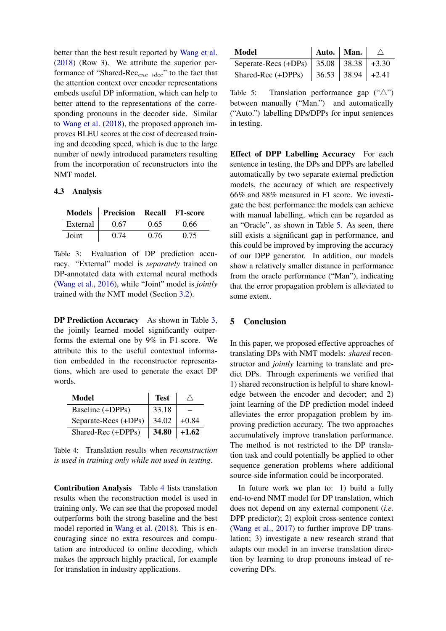better than the best result reported by [Wang et al.](#page-5-0) [\(2018\)](#page-5-0) (Row 3). We attribute the superior performance of "Shared-Rec $_{enc \rightarrow dec}$ " to the fact that the attention context over encoder representations embeds useful DP information, which can help to better attend to the representations of the corresponding pronouns in the decoder side. Similar to [Wang et al.](#page-5-0) [\(2018\)](#page-5-0), the proposed approach improves BLEU scores at the cost of decreased training and decoding speed, which is due to the large number of newly introduced parameters resulting from the incorporation of reconstructors into the NMT model.

## 4.3 Analysis

<span id="page-4-0"></span>

|          | Models Precision Recall |      | <b>F1-score</b> |
|----------|-------------------------|------|-----------------|
| External | 0.67                    | 0.65 | 0.66            |
| Joint    | 0.74                    | 0.76 | 0.75            |

Table 3: Evaluation of DP prediction accuracy. "External" model is *separately* trained on DP-annotated data with external neural methods [\(Wang et al.,](#page-5-3) [2016\)](#page-5-3), while "Joint" model is *jointly* trained with the NMT model (Section [3.2\)](#page-2-3).

DP Prediction Accuracy As shown in Table [3,](#page-4-0) the jointly learned model significantly outperforms the external one by 9% in F1-score. We attribute this to the useful contextual information embedded in the reconstructor representations, which are used to generate the exact DP words.

<span id="page-4-1"></span>

| Model                | <b>Test</b> |         |
|----------------------|-------------|---------|
| Baseline (+DPPs)     | 33.18       |         |
| Separate-Recs (+DPs) | 34.02       | $+0.84$ |
| Shared-Rec (+DPPs)   | 34.80       | $+1.62$ |

Table 4: Translation results when *reconstruction is used in training only while not used in testing*.

Contribution Analysis Table [4](#page-4-1) lists translation results when the reconstruction model is used in training only. We can see that the proposed model outperforms both the strong baseline and the best model reported in [Wang et al.](#page-5-0) [\(2018\)](#page-5-0). This is encouraging since no extra resources and computation are introduced to online decoding, which makes the approach highly practical, for example for translation in industry applications.

<span id="page-4-2"></span>

| Model                                        | Auto.   Man. |  |
|----------------------------------------------|--------------|--|
| Seperate-Recs (+DPs)   35.08   38.38   +3.30 |              |  |
| Shared-Rec (+DPPs)   36.53   38.94   +2.41   |              |  |

Table 5: Translation performance gap  $(\hat{\ }')$ between manually ("Man.") and automatically ("Auto.") labelling DPs/DPPs for input sentences in testing.

Effect of DPP Labelling Accuracy For each sentence in testing, the DPs and DPPs are labelled automatically by two separate external prediction models, the accuracy of which are respectively 66% and 88% measured in F1 score. We investigate the best performance the models can achieve with manual labelling, which can be regarded as an "Oracle", as shown in Table [5.](#page-4-2) As seen, there still exists a significant gap in performance, and this could be improved by improving the accuracy of our DPP generator. In addition, our models show a relatively smaller distance in performance from the oracle performance ("Man"), indicating that the error propagation problem is alleviated to some extent.

#### 5 Conclusion

In this paper, we proposed effective approaches of translating DPs with NMT models: *shared* reconstructor and *jointly* learning to translate and predict DPs. Through experiments we verified that 1) shared reconstruction is helpful to share knowledge between the encoder and decoder; and 2) joint learning of the DP prediction model indeed alleviates the error propagation problem by improving prediction accuracy. The two approaches accumulatively improve translation performance. The method is not restricted to the DP translation task and could potentially be applied to other sequence generation problems where additional source-side information could be incorporated.

In future work we plan to: 1) build a fully end-to-end NMT model for DP translation, which does not depend on any external component (*i.e.* DPP predictor); 2) exploit cross-sentence context [\(Wang et al.,](#page-5-12) [2017\)](#page-5-12) to further improve DP translation; 3) investigate a new research strand that adapts our model in an inverse translation direction by learning to drop pronouns instead of recovering DPs.